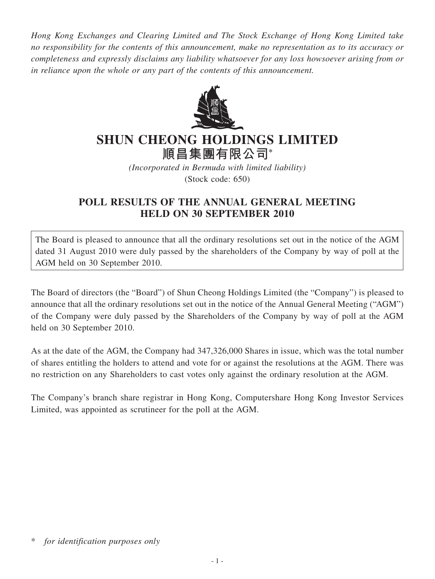*Hong Kong Exchanges and Clearing Limited and The Stock Exchange of Hong Kong Limited take no responsibility for the contents of this announcement, make no representation as to its accuracy or completeness and expressly disclaims any liability whatsoever for any loss howsoever arising from or in reliance upon the whole or any part of the contents of this announcement.*



## **SHUN CHEONG HOLDINGS LIMITED**

**順昌集團有限公司\***

*(Incorporated in Bermuda with limited liability)* (Stock code: 650)

## **POLL RESULTS OF THE ANNUAL GENERAL MEETING HELD ON 30 SEPTEMBER 2010**

The Board is pleased to announce that all the ordinary resolutions set out in the notice of the AGM dated 31 August 2010 were duly passed by the shareholders of the Company by way of poll at the AGM held on 30 September 2010.

The Board of directors (the "Board") of Shun Cheong Holdings Limited (the "Company") is pleased to announce that all the ordinary resolutions set out in the notice of the Annual General Meeting ("AGM") of the Company were duly passed by the Shareholders of the Company by way of poll at the AGM held on 30 September 2010.

As at the date of the AGM, the Company had 347,326,000 Shares in issue, which was the total number of shares entitling the holders to attend and vote for or against the resolutions at the AGM. There was no restriction on any Shareholders to cast votes only against the ordinary resolution at the AGM.

The Company's branch share registrar in Hong Kong, Computershare Hong Kong Investor Services Limited, was appointed as scrutineer for the poll at the AGM.

for *identification purposes only*